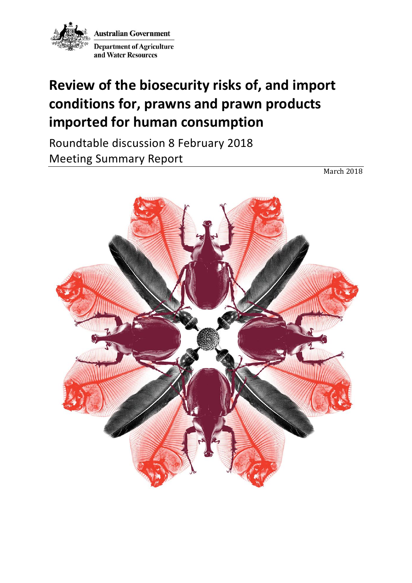

# **Review of the biosecurity risks of, and import conditions for, prawns and prawn products imported for human consumption**

Roundtable discussion 8 February 2018 Meeting Summary Report

March 2018

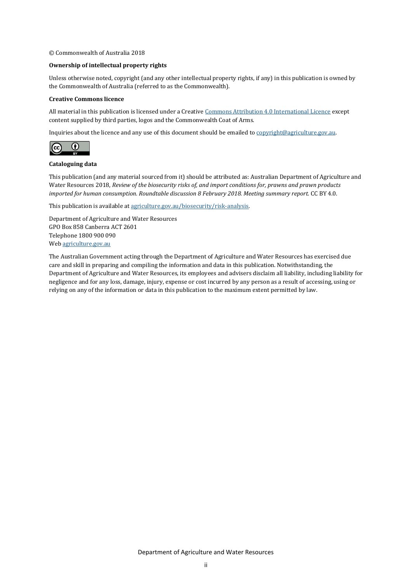#### © Commonwealth of Australia 2018

#### **Ownership of intellectual property rights**

Unless otherwise noted, copyright (and any other intellectual property rights, if any) in this publication is owned by the Commonwealth of Australia (referred to as the Commonwealth).

#### **Creative Commons licence**

All material in this publication is licensed under a Creativ[e Commons Attribution 4.0 International Licence](https://creativecommons.org/licenses/by/4.0/legalcode) except content supplied by third parties, logos and the Commonwealth Coat of Arms.

Inquiries about the licence and any use of this document should be emailed t[o copyright@agriculture.gov.au.](mailto:copyright@agriculture.gov.au)



#### **Cataloguing data**

This publication (and any material sourced from it) should be attributed as: Australian Department of Agriculture and Water Resources 2018, *Review of the biosecurity risks of, and import conditions for, prawns and prawn products imported for human consumption. Roundtable discussion 8 February 2018. Meeting summary report.* CC BY 4.0.

This publication is available a[t agriculture.gov.au/biosecurity/risk-analysis.](http://agriculture.gov.au/biosecurity/risk-analysis)

Department of Agriculture and Water Resources GPO Box 858 Canberra ACT 2601 Telephone 1800 900 090 We[b agriculture.gov.au](http://agriculture.gov.au/)

The Australian Government acting through the Department of Agriculture and Water Resources has exercised due care and skill in preparing and compiling the information and data in this publication. Notwithstanding, the Department of Agriculture and Water Resources, its employees and advisers disclaim all liability, including liability for negligence and for any loss, damage, injury, expense or cost incurred by any person as a result of accessing, using or relying on any of the information or data in this publication to the maximum extent permitted by law.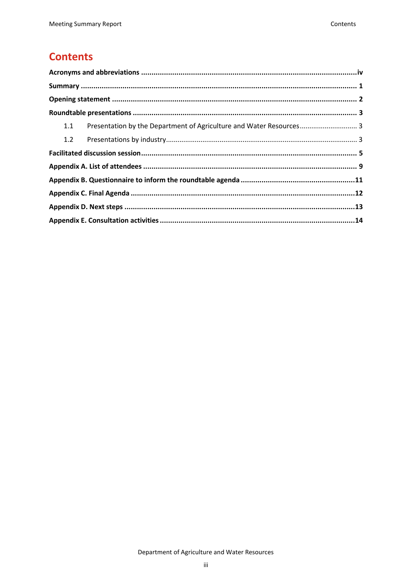### **Contents**

| Presentation by the Department of Agriculture and Water Resources 3<br>1.1 |  |  |
|----------------------------------------------------------------------------|--|--|
| 1.2                                                                        |  |  |
|                                                                            |  |  |
|                                                                            |  |  |
|                                                                            |  |  |
|                                                                            |  |  |
|                                                                            |  |  |
|                                                                            |  |  |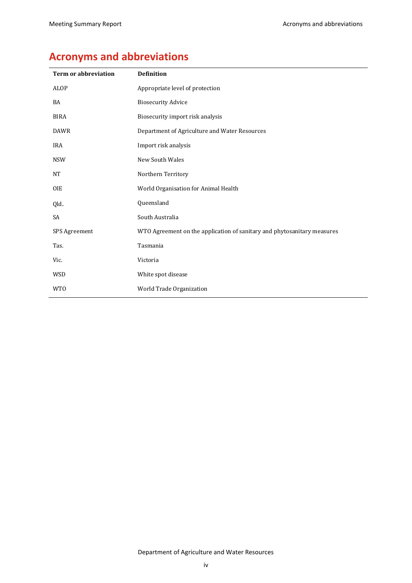## **Acronyms and abbreviations**

| <b>Term or abbreviation</b> | <b>Definition</b>                                                       |
|-----------------------------|-------------------------------------------------------------------------|
| <b>ALOP</b>                 | Appropriate level of protection                                         |
| BA                          | <b>Biosecurity Advice</b>                                               |
| <b>BIRA</b>                 | Biosecurity import risk analysis                                        |
| <b>DAWR</b>                 | Department of Agriculture and Water Resources                           |
| <b>IRA</b>                  | Import risk analysis                                                    |
| <b>NSW</b>                  | New South Wales                                                         |
| <b>NT</b>                   | Northern Territory                                                      |
| <b>OIE</b>                  | World Organisation for Animal Health                                    |
| Qld.                        | Queensland                                                              |
| SA                          | South Australia                                                         |
| SPS Agreement               | WTO Agreement on the application of sanitary and phytosanitary measures |
| Tas.                        | Tasmania                                                                |
| Vic.                        | Victoria                                                                |
| <b>WSD</b>                  | White spot disease                                                      |
| <b>WTO</b>                  | World Trade Organization                                                |

Department of Agriculture and Water Resources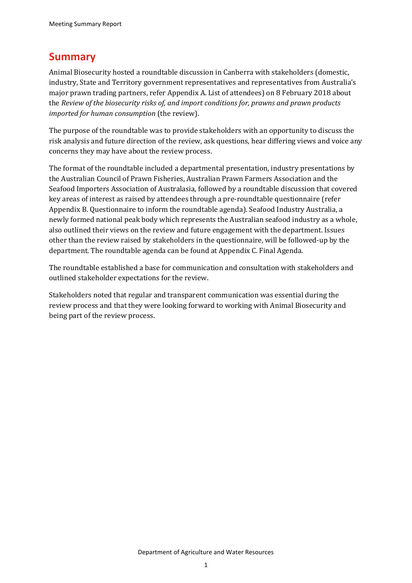### **Summary**

Animal Biosecurity hosted a roundtable discussion in Canberra with stakeholders (domestic, industry, State and Territory government representatives and representatives from Australia's major prawn trading partners, refer [Appendix A. List of attendees\)](#page-12-0) on 8 February 2018 about the *Review of the biosecurity risks of, and import conditions for, prawns and prawn products imported for human consumption* (the review).

The purpose of the roundtable was to provide stakeholders with an opportunity to discuss the risk analysis and future direction of the review, ask questions, hear differing views and voice any concerns they may have about the review process.

The format of the roundtable included a departmental presentation, industry presentations by the Australian Council of Prawn Fisheries, Australian Prawn Farmers Association and the Seafood Importers Association of Australasia, followed by a roundtable discussion that covered key areas of interest as raised by attendees through a pre-roundtable questionnaire (refer [Appendix B. Questionnaire to inform the roundtable agenda\)](#page-14-0). Seafood Industry Australia, a newly formed national peak body which represents the Australian seafood industry as a whole, also outlined their views on the review and future engagement with the department. Issues other than the review raised by stakeholders in the questionnaire, will be followed-up by the department. The roundtable agenda can be found at [Appendix C. Final Agenda.](#page-15-0)

The roundtable established a base for communication and consultation with stakeholders and outlined stakeholder expectations for the review.

Stakeholders noted that regular and transparent communication was essential during the review process and that they were looking forward to working with Animal Biosecurity and being part of the review process.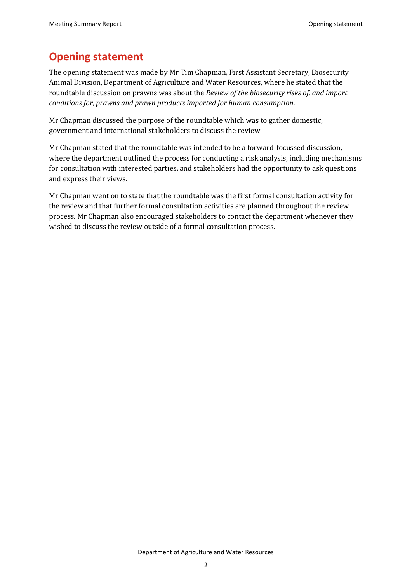### **Opening statement**

The opening statement was made by Mr Tim Chapman, First Assistant Secretary, Biosecurity Animal Division, Department of Agriculture and Water Resources, where he stated that the roundtable discussion on prawns was about the *Review of the biosecurity risks of, and import conditions for, prawns and prawn products imported for human consumption*.

Mr Chapman discussed the purpose of the roundtable which was to gather domestic, government and international stakeholders to discuss the review.

Mr Chapman stated that the roundtable was intended to be a forward-focussed discussion, where the department outlined the process for conducting a risk analysis, including mechanisms for consultation with interested parties, and stakeholders had the opportunity to ask questions and express their views.

Mr Chapman went on to state that the roundtable was the first formal consultation activity for the review and that further formal consultation activities are planned throughout the review process. Mr Chapman also encouraged stakeholders to contact the department whenever they wished to discuss the review outside of a formal consultation process.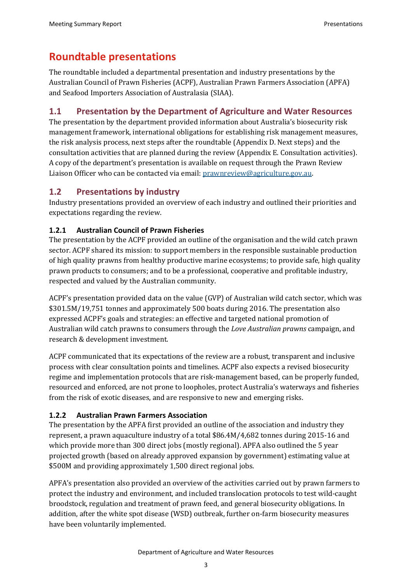## **Roundtable presentations**

The roundtable included a departmental presentation and industry presentations by the Australian Council of Prawn Fisheries (ACPF), Australian Prawn Farmers Association (APFA) and Seafood Importers Association of Australasia (SIAA).

### **1.1 Presentation by the Department of Agriculture and Water Resources**

The presentation by the department provided information about Australia's biosecurity risk management framework, international obligations for establishing risk management measures, the risk analysis process, next steps after the roundtable [\(Appendix D. Next steps\)](#page-16-0) and the consultation activities that are planned during the review [\(Appendix E. Consultation activities\)](#page-17-0). A copy of the department's presentation is available on request through the Prawn Review Liaison Officer who can be contacted via email: [prawnreview@agriculture.gov.au.](mailto:prawnreview@agriculture.gov.au)

### **1.2 Presentations by industry**

Industry presentations provided an overview of each industry and outlined their priorities and expectations regarding the review.

### **1.2.1 Australian Council of Prawn Fisheries**

The presentation by the ACPF provided an outline of the organisation and the wild catch prawn sector. ACPF shared its mission: to support members in the responsible sustainable production of high quality prawns from healthy productive marine ecosystems; to provide safe, high quality prawn products to consumers; and to be a professional, cooperative and profitable industry, respected and valued by the Australian community.

ACPF's presentation provided data on the value (GVP) of Australian wild catch sector, which was \$301.5M/19,751 tonnes and approximately 500 boats during 2016. The presentation also expressed ACPF's goals and strategies: an effective and targeted national promotion of Australian wild catch prawns to consumers through the *Love Australian prawns* campaign, and research & development investment.

ACPF communicated that its expectations of the review are a robust, transparent and inclusive process with clear consultation points and timelines. ACPF also expects a revised biosecurity regime and implementation protocols that are risk-management based, can be properly funded, resourced and enforced, are not prone to loopholes, protect Australia's waterways and fisheries from the risk of exotic diseases, and are responsive to new and emerging risks.

### **1.2.2 Australian Prawn Farmers Association**

The presentation by the APFA first provided an outline of the association and industry they represent, a prawn aquaculture industry of a total \$86.4M/4,682 tonnes during 2015-16 and which provide more than 300 direct jobs (mostly regional). APFA also outlined the 5 year projected growth (based on already approved expansion by government) estimating value at \$500M and providing approximately 1,500 direct regional jobs.

APFA's presentation also provided an overview of the activities carried out by prawn farmers to protect the industry and environment, and included translocation protocols to test wild-caught broodstock, regulation and treatment of prawn feed, and general biosecurity obligations. In addition, after the white spot disease (WSD) outbreak, further on-farm biosecurity measures have been voluntarily implemented.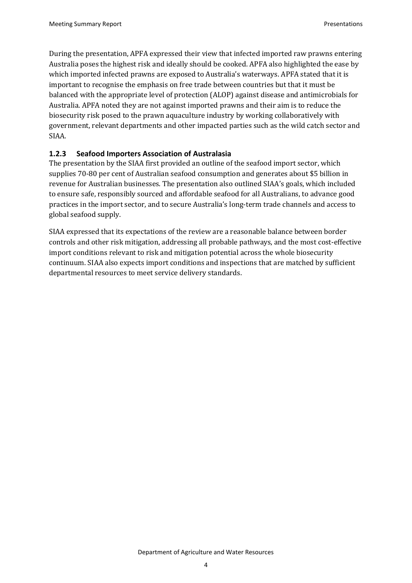During the presentation, APFA expressed their view that infected imported raw prawns entering Australia poses the highest risk and ideally should be cooked. APFA also highlighted the ease by which imported infected prawns are exposed to Australia's waterways. APFA stated that it is important to recognise the emphasis on free trade between countries but that it must be balanced with the appropriate level of protection (ALOP) against disease and antimicrobials for Australia. APFA noted they are not against imported prawns and their aim is to reduce the biosecurity risk posed to the prawn aquaculture industry by working collaboratively with government, relevant departments and other impacted parties such as the wild catch sector and SIAA.

### **1.2.3 Seafood Importers Association of Australasia**

The presentation by the SIAA first provided an outline of the seafood import sector, which supplies 70-80 per cent of Australian seafood consumption and generates about \$5 billion in revenue for Australian businesses. The presentation also outlined SIAA's goals, which included to ensure safe, responsibly sourced and affordable seafood for all Australians, to advance good practices in the import sector, and to secure Australia's long-term trade channels and access to global seafood supply.

SIAA expressed that its expectations of the review are a reasonable balance between border controls and other risk mitigation, addressing all probable pathways, and the most cost-effective import conditions relevant to risk and mitigation potential across the whole biosecurity continuum. SIAA also expects import conditions and inspections that are matched by sufficient departmental resources to meet service delivery standards.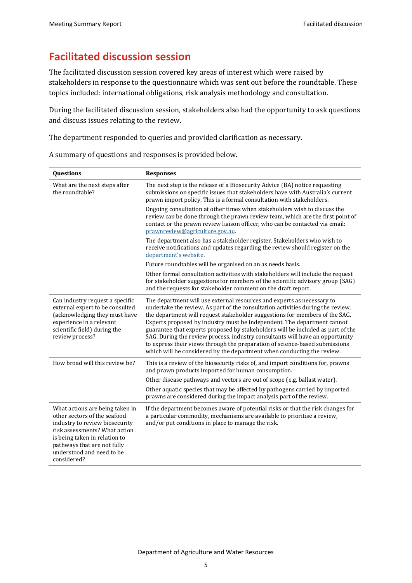## **Facilitated discussion session**

The facilitated discussion session covered key areas of interest which were raised by stakeholders in response to the questionnaire which was sent out before the roundtable. These topics included: international obligations, risk analysis methodology and consultation.

During the facilitated discussion session, stakeholders also had the opportunity to ask questions and discuss issues relating to the review.

The department responded to queries and provided clarification as necessary.

| Questions                                                                                                                                                                                                                                      | <b>Responses</b>                                                                                                                                                                                                                                                                                                                                                                                                                                                                                                                                                                                                                                 |
|------------------------------------------------------------------------------------------------------------------------------------------------------------------------------------------------------------------------------------------------|--------------------------------------------------------------------------------------------------------------------------------------------------------------------------------------------------------------------------------------------------------------------------------------------------------------------------------------------------------------------------------------------------------------------------------------------------------------------------------------------------------------------------------------------------------------------------------------------------------------------------------------------------|
| What are the next steps after<br>the roundtable?                                                                                                                                                                                               | The next step is the release of a Biosecurity Advice (BA) notice requesting<br>submissions on specific issues that stakeholders have with Australia's current<br>prawn import policy. This is a formal consultation with stakeholders.                                                                                                                                                                                                                                                                                                                                                                                                           |
|                                                                                                                                                                                                                                                | Ongoing consultation at other times when stakeholders wish to discuss the<br>review can be done through the prawn review team, which are the first point of<br>contact or the prawn review liaison officer, who can be contacted via email:<br>prawnreview@agriculture.gov.au.                                                                                                                                                                                                                                                                                                                                                                   |
|                                                                                                                                                                                                                                                | The department also has a stakeholder register. Stakeholders who wish to<br>receive notifications and updates regarding the review should register on the<br>department's website.                                                                                                                                                                                                                                                                                                                                                                                                                                                               |
|                                                                                                                                                                                                                                                | Future roundtables will be organised on an as needs basis.                                                                                                                                                                                                                                                                                                                                                                                                                                                                                                                                                                                       |
|                                                                                                                                                                                                                                                | Other formal consultation activities with stakeholders will include the request<br>for stakeholder suggestions for members of the scientific advisory group (SAG)<br>and the requests for stakeholder comment on the draft report.                                                                                                                                                                                                                                                                                                                                                                                                               |
| Can industry request a specific<br>external expert to be consulted<br>(acknowledging they must have<br>experience in a relevant<br>scientific field) during the<br>review process?                                                             | The department will use external resources and experts as necessary to<br>undertake the review. As part of the consultation activities during the review,<br>the department will request stakeholder suggestions for members of the SAG.<br>Experts proposed by industry must be independent. The department cannot<br>guarantee that experts proposed by stakeholders will be included as part of the<br>SAG. During the review process, industry consultants will have an opportunity<br>to express their views through the preparation of science-based submissions<br>which will be considered by the department when conducting the review. |
| How broad will this review be?                                                                                                                                                                                                                 | This is a review of the biosecurity risks of, and import conditions for, prawns<br>and prawn products imported for human consumption.                                                                                                                                                                                                                                                                                                                                                                                                                                                                                                            |
|                                                                                                                                                                                                                                                | Other disease pathways and vectors are out of scope (e.g. ballast water).                                                                                                                                                                                                                                                                                                                                                                                                                                                                                                                                                                        |
|                                                                                                                                                                                                                                                | Other aquatic species that may be affected by pathogens carried by imported<br>prawns are considered during the impact analysis part of the review.                                                                                                                                                                                                                                                                                                                                                                                                                                                                                              |
| What actions are being taken in<br>other sectors of the seafood<br>industry to review biosecurity<br>risk assessments? What action<br>is being taken in relation to<br>pathways that are not fully<br>understood and need to be<br>considered? | If the department becomes aware of potential risks or that the risk changes for<br>a particular commodity, mechanisms are available to prioritise a review,<br>and/or put conditions in place to manage the risk.                                                                                                                                                                                                                                                                                                                                                                                                                                |

A summary of questions and responses is provided below.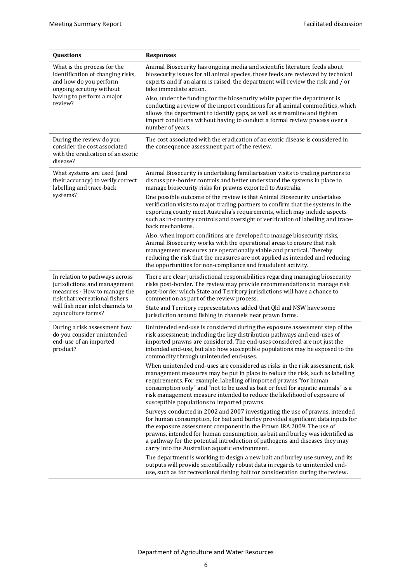| Questions                                                                                                                                                                                  | <b>Responses</b>                                                                                                                                                                                                                                                                                                                                                                                                                                        |
|--------------------------------------------------------------------------------------------------------------------------------------------------------------------------------------------|---------------------------------------------------------------------------------------------------------------------------------------------------------------------------------------------------------------------------------------------------------------------------------------------------------------------------------------------------------------------------------------------------------------------------------------------------------|
| What is the process for the<br>identification of changing risks,<br>and how do you perform<br>ongoing scrutiny without<br>having to perform a major<br>review?                             | Animal Biosecurity has ongoing media and scientific literature feeds about<br>biosecurity issues for all animal species, those feeds are reviewed by technical<br>experts and if an alarm is raised, the department will review the risk and / or<br>take immediate action.                                                                                                                                                                             |
|                                                                                                                                                                                            | Also, under the funding for the biosecurity white paper the department is<br>conducting a review of the import conditions for all animal commodities, which<br>allows the department to identify gaps, as well as streamline and tighten<br>import conditions without having to conduct a formal review process over a<br>number of years.                                                                                                              |
| During the review do you<br>consider the cost associated<br>with the eradication of an exotic<br>disease?                                                                                  | The cost associated with the eradication of an exotic disease is considered in<br>the consequence assessment part of the review.                                                                                                                                                                                                                                                                                                                        |
| What systems are used (and<br>their accuracy) to verify correct<br>labelling and trace-back<br>systems?                                                                                    | Animal Biosecurity is undertaking familiarisation visits to trading partners to<br>discuss pre-border controls and better understand the systems in place to<br>manage biosecurity risks for prawns exported to Australia.                                                                                                                                                                                                                              |
|                                                                                                                                                                                            | One possible outcome of the review is that Animal Biosecurity undertakes<br>verification visits to major trading partners to confirm that the systems in the<br>exporting county meet Australia's requirements, which may include aspects<br>such as in-country controls and oversight of verification of labelling and trace-<br>back mechanisms.                                                                                                      |
|                                                                                                                                                                                            | Also, when import conditions are developed to manage biosecurity risks,<br>Animal Biosecurity works with the operational areas to ensure that risk<br>management measures are operationally viable and practical. Thereby<br>reducing the risk that the measures are not applied as intended and reducing<br>the opportunities for non-compliance and fraudulent activity.                                                                              |
| In relation to pathways across<br>jurisdictions and management<br>measures - How to manage the<br>risk that recreational fishers<br>will fish near inlet channels to<br>aquaculture farms? | There are clear jurisdictional responsibilities regarding managing biosecurity<br>risks post-border. The review may provide recommendations to manage risk<br>post-border which State and Territory jurisdictions will have a chance to<br>comment on as part of the review process.                                                                                                                                                                    |
|                                                                                                                                                                                            | State and Territory representatives added that Qld and NSW have some<br>jurisdiction around fishing in channels near prawn farms.                                                                                                                                                                                                                                                                                                                       |
| During a risk assessment how<br>do you consider unintended<br>end-use of an imported<br>product?                                                                                           | Unintended end-use is considered during the exposure assessment step of the<br>risk assessment; including the key distribution pathways and end-uses of<br>imported prawns are considered. The end-uses considered are not just the<br>intended end-use, but also how susceptible populations may be exposed to the<br>commodity through unintended end-uses.                                                                                           |
|                                                                                                                                                                                            | When unintended end-uses are considered as risks in the risk assessment, risk<br>management measures may be put in place to reduce the risk, such as labelling<br>requirements. For example, labelling of imported prawns "for human<br>consumption only" and "not to be used as bait or feed for aquatic animals" is a<br>risk management measure intended to reduce the likelihood of exposure of<br>susceptible populations to imported prawns.      |
|                                                                                                                                                                                            | Surveys conducted in 2002 and 2007 investigating the use of prawns, intended<br>for human consumption, for bait and burley provided significant data inputs for<br>the exposure assessment component in the Prawn IRA 2009. The use of<br>prawns, intended for human consumption, as bait and burley was identified as<br>a pathway for the potential introduction of pathogens and diseases they may<br>carry into the Australian aquatic environment. |
|                                                                                                                                                                                            | The department is working to design a new bait and burley use survey, and its<br>outputs will provide scientifically robust data in regards to unintended end-<br>use, such as for recreational fishing bait for consideration during the review.                                                                                                                                                                                                       |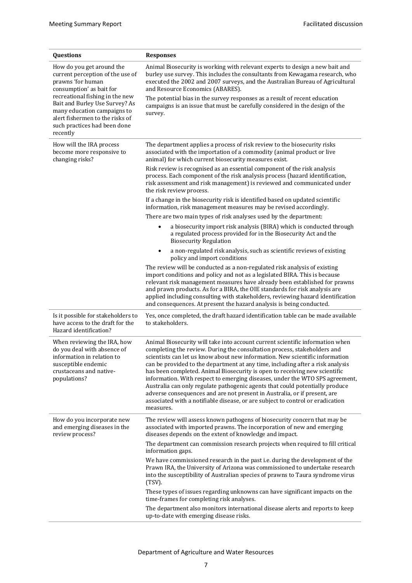| Questions                                                                                                                                                                                                                                                                                         | <b>Responses</b>                                                                                                                                                                                                                                                                                                                                                                                                                                                                                                                                                                                                                                                                                                                                      |
|---------------------------------------------------------------------------------------------------------------------------------------------------------------------------------------------------------------------------------------------------------------------------------------------------|-------------------------------------------------------------------------------------------------------------------------------------------------------------------------------------------------------------------------------------------------------------------------------------------------------------------------------------------------------------------------------------------------------------------------------------------------------------------------------------------------------------------------------------------------------------------------------------------------------------------------------------------------------------------------------------------------------------------------------------------------------|
| How do you get around the<br>current perception of the use of<br>prawns 'for human<br>consumption' as bait for<br>recreational fishing in the new<br>Bait and Burley Use Survey? As<br>many education campaigns to<br>alert fishermen to the risks of<br>such practices had been done<br>recently | Animal Biosecurity is working with relevant experts to design a new bait and<br>burley use survey. This includes the consultants from Kewagama research, who<br>executed the 2002 and 2007 surveys, and the Australian Bureau of Agricultural<br>and Resource Economics (ABARES).                                                                                                                                                                                                                                                                                                                                                                                                                                                                     |
|                                                                                                                                                                                                                                                                                                   | The potential bias in the survey responses as a result of recent education<br>campaigns is an issue that must be carefully considered in the design of the<br>survey.                                                                                                                                                                                                                                                                                                                                                                                                                                                                                                                                                                                 |
| How will the IRA process<br>become more responsive to<br>changing risks?                                                                                                                                                                                                                          | The department applies a process of risk review to the biosecurity risks<br>associated with the importation of a commodity (animal product or live<br>animal) for which current biosecurity measures exist.                                                                                                                                                                                                                                                                                                                                                                                                                                                                                                                                           |
|                                                                                                                                                                                                                                                                                                   | Risk review is recognised as an essential component of the risk analysis<br>process. Each component of the risk analysis process (hazard identification,<br>risk assessment and risk management) is reviewed and communicated under<br>the risk review process.                                                                                                                                                                                                                                                                                                                                                                                                                                                                                       |
|                                                                                                                                                                                                                                                                                                   | If a change in the biosecurity risk is identified based on updated scientific<br>information, risk management measures may be revised accordingly.                                                                                                                                                                                                                                                                                                                                                                                                                                                                                                                                                                                                    |
|                                                                                                                                                                                                                                                                                                   | There are two main types of risk analyses used by the department:                                                                                                                                                                                                                                                                                                                                                                                                                                                                                                                                                                                                                                                                                     |
|                                                                                                                                                                                                                                                                                                   | a biosecurity import risk analysis (BIRA) which is conducted through<br>$\bullet$<br>a regulated process provided for in the Biosecurity Act and the<br><b>Biosecurity Regulation</b>                                                                                                                                                                                                                                                                                                                                                                                                                                                                                                                                                                 |
|                                                                                                                                                                                                                                                                                                   | a non-regulated risk analysis, such as scientific reviews of existing<br>$\bullet$<br>policy and import conditions                                                                                                                                                                                                                                                                                                                                                                                                                                                                                                                                                                                                                                    |
|                                                                                                                                                                                                                                                                                                   | The review will be conducted as a non-regulated risk analysis of existing<br>import conditions and policy and not as a legislated BIRA. This is because<br>relevant risk management measures have already been established for prawns<br>and prawn products. As for a BIRA, the OIE standards for risk analysis are<br>applied including consulting with stakeholders, reviewing hazard identification<br>and consequences. At present the hazard analysis is being conducted.                                                                                                                                                                                                                                                                        |
| Is it possible for stakeholders to<br>have access to the draft for the<br>Hazard identification?                                                                                                                                                                                                  | Yes, once completed, the draft hazard identification table can be made available<br>to stakeholders.                                                                                                                                                                                                                                                                                                                                                                                                                                                                                                                                                                                                                                                  |
| When reviewing the IRA, how<br>do you deal with absence of<br>information in relation to<br>susceptible endemic<br>crustaceans and native-<br>populations?                                                                                                                                        | Animal Biosecurity will take into account current scientific information when<br>completing the review. During the consultation process, stakeholders and<br>scientists can let us know about new information. New scientific information<br>can be provided to the department at any time, including after a risk analysis<br>has been completed. Animal Biosecurity is open to receiving new scientific<br>information. With respect to emerging diseases, under the WTO SPS agreement,<br>Australia can only regulate pathogenic agents that could potentially produce<br>adverse consequences and are not present in Australia, or if present, are<br>associated with a notifiable disease, or are subject to control or eradication<br>measures. |
| How do you incorporate new<br>and emerging diseases in the<br>review process?                                                                                                                                                                                                                     | The review will assess known pathogens of biosecurity concern that may be<br>associated with imported prawns. The incorporation of new and emerging<br>diseases depends on the extent of knowledge and impact.                                                                                                                                                                                                                                                                                                                                                                                                                                                                                                                                        |
|                                                                                                                                                                                                                                                                                                   | The department can commission research projects when required to fill critical<br>information gaps.                                                                                                                                                                                                                                                                                                                                                                                                                                                                                                                                                                                                                                                   |
|                                                                                                                                                                                                                                                                                                   | We have commissioned research in the past i.e. during the development of the<br>Prawn IRA, the University of Arizona was commissioned to undertake research<br>into the susceptibility of Australian species of prawns to Taura syndrome virus<br>(TSV).                                                                                                                                                                                                                                                                                                                                                                                                                                                                                              |
|                                                                                                                                                                                                                                                                                                   | These types of issues regarding unknowns can have significant impacts on the<br>time-frames for completing risk analyses.                                                                                                                                                                                                                                                                                                                                                                                                                                                                                                                                                                                                                             |
|                                                                                                                                                                                                                                                                                                   | The department also monitors international disease alerts and reports to keep<br>up-to-date with emerging disease risks.                                                                                                                                                                                                                                                                                                                                                                                                                                                                                                                                                                                                                              |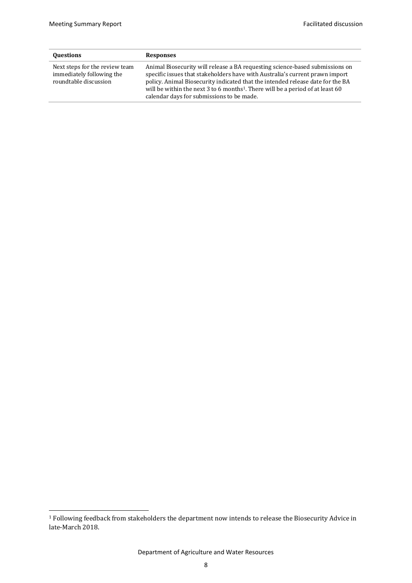l

| <b>Ouestions</b>                                                                     | <b>Responses</b>                                                                                                                                                                                                                                                                                                                                                                          |
|--------------------------------------------------------------------------------------|-------------------------------------------------------------------------------------------------------------------------------------------------------------------------------------------------------------------------------------------------------------------------------------------------------------------------------------------------------------------------------------------|
| Next steps for the review team<br>immediately following the<br>roundtable discussion | Animal Biosecurity will release a BA requesting science-based submissions on<br>specific issues that stakeholders have with Australia's current prawn import<br>policy. Animal Biosecurity indicated that the intended release date for the BA<br>will be within the next 3 to 6 months <sup>1</sup> . There will be a period of at least 60<br>calendar days for submissions to be made. |

 $1$  Following feedback from stakeholders the department now intends to release the Biosecurity Advice in late-March 2018.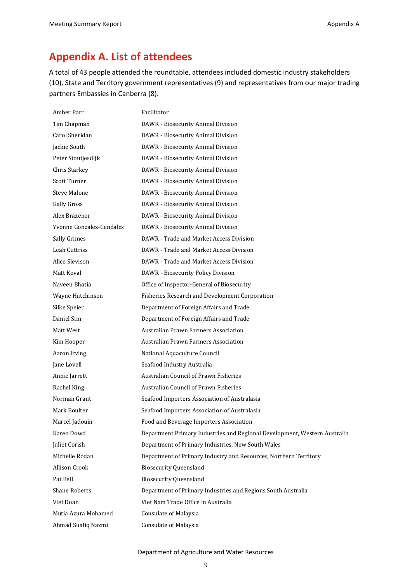## <span id="page-12-0"></span>**Appendix A. List of attendees**

A total of 43 people attended the roundtable, attendees included domestic industry stakeholders (10), State and Territory government representatives (9) and representatives from our major trading partners Embassies in Canberra (8).

| Amber Parr               | Facilitator                                                               |
|--------------------------|---------------------------------------------------------------------------|
| Tim Chapman              | DAWR - Biosecurity Animal Division                                        |
| Carol Sheridan           | DAWR - Biosecurity Animal Division                                        |
| Jackie South             | DAWR - Biosecurity Animal Division                                        |
| Peter Stoutjesdijk       | DAWR - Biosecurity Animal Division                                        |
| Chris Starkey            | DAWR - Biosecurity Animal Division                                        |
| <b>Scott Turner</b>      | DAWR - Biosecurity Animal Division                                        |
| <b>Steve Malone</b>      | DAWR - Biosecurity Animal Division                                        |
| <b>Kally Gross</b>       | DAWR - Biosecurity Animal Division                                        |
| Alex Brazenor            | DAWR - Biosecurity Animal Division                                        |
| Yvonne Gonzalez-Cendales | DAWR - Biosecurity Animal Division                                        |
| Sally Grimes             | DAWR - Trade and Market Access Division                                   |
| Leah Cuttriss            | DAWR - Trade and Market Access Division                                   |
| Alice Slevison           | DAWR - Trade and Market Access Division                                   |
| Matt Koval               | DAWR - Biosecurity Policy Division                                        |
| Naveen Bhatia            | Office of Inspector-General of Biosecurity                                |
| Wayne Hutchinson         | Fisheries Research and Development Corporation                            |
| Silke Speier             | Department of Foreign Affairs and Trade                                   |
| Daniel Sim               | Department of Foreign Affairs and Trade                                   |
| Matt West                | <b>Australian Prawn Farmers Association</b>                               |
| Kim Hooper               | <b>Australian Prawn Farmers Association</b>                               |
| Aaron Irving             | National Aquaculture Council                                              |
| Jane Lovell              | Seafood Industry Australia                                                |
| Annie Jarrett            | <b>Australian Council of Prawn Fisheries</b>                              |
| Rachel King              | Australian Council of Prawn Fisheries                                     |
| Norman Grant             | Seafood Importers Association of Australasia                              |
| Mark Boulter             | Seafood Importers Association of Australasia                              |
| Marcel Jadouin           | Food and Beverage Importers Association                                   |
| Karen Dowd               | Department Primary Industries and Regional Development, Western Australia |
| Juliet Corish            | Department of Primary Industries, New South Wales                         |
| Michelle Rodan           | Department of Primary Industry and Resources, Northern Territory          |
| Allison Crook            | <b>Biosecurity Queensland</b>                                             |
| Pat Bell                 | <b>Biosecurity Queensland</b>                                             |
| <b>Shane Roberts</b>     | Department of Primary Industries and Regions South Australia              |
| Viet Doan                | Viet Nam Trade Office in Australia                                        |
| Mutia Azura Mohamed      | Consulate of Malaysia                                                     |
| Ahmad Suafiq Nazmi       | Consulate of Malaysia                                                     |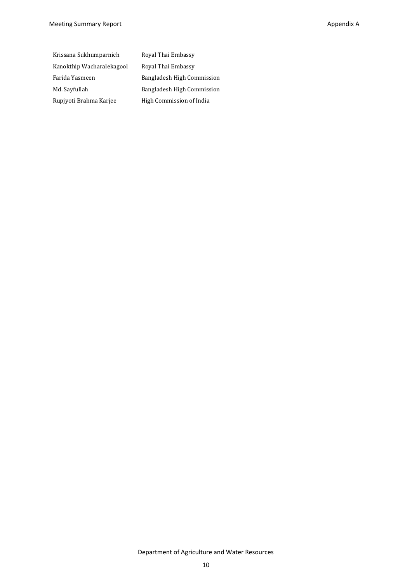| Krissana Sukhumparnich    | Royal Thai Embassy         |
|---------------------------|----------------------------|
| Kanokthip Wacharalekagool | Royal Thai Embassy         |
| Farida Yasmeen            | Bangladesh High Commission |
| Md. Sayfullah             | Bangladesh High Commission |
| Rupjyoti Brahma Karjee    | High Commission of India   |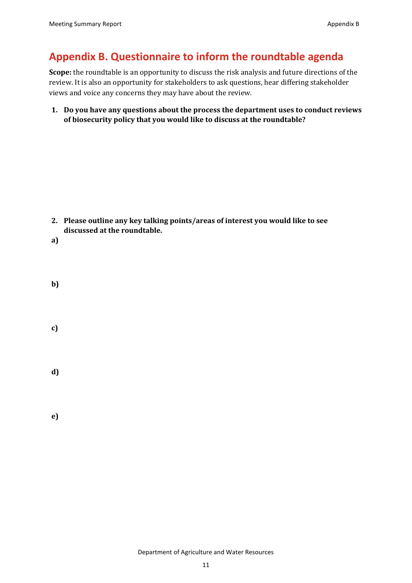## <span id="page-14-0"></span>**Appendix B. Questionnaire to inform the roundtable agenda**

**Scope:** the roundtable is an opportunity to discuss the risk analysis and future directions of the review. It is also an opportunity for stakeholders to ask questions, hear differing stakeholder views and voice any concerns they may have about the review.

**1. Do you have any questions about the process the department uses to conduct reviews of biosecurity policy that you would like to discuss at the roundtable?**

- **2. Please outline any key talking points/areas of interest you would like to see discussed at the roundtable.**
- **a)**

**b)**

**c)**

**d)**

**e)**

Department of Agriculture and Water Resources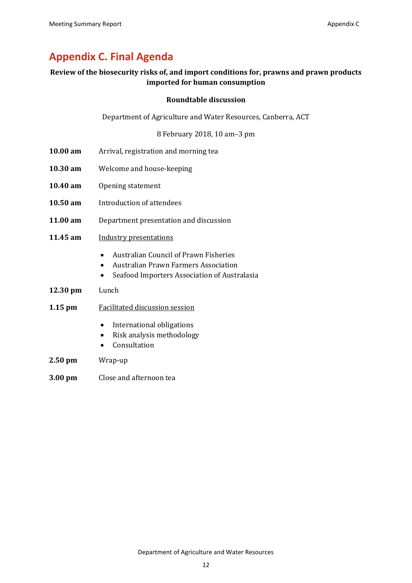## <span id="page-15-0"></span>**Appendix C. Final Agenda**

#### **Review of the biosecurity risks of, and import conditions for, prawns and prawn products imported for human consumption**

#### **Roundtable discussion**

Department of Agriculture and Water Resources, Canberra, ACT

8 February 2018, 10 am–3 pm

- **10.00 am** Arrival, registration and morning tea
- **10.30 am** Welcome and house-keeping
- **10.40 am** Opening statement
- **10.50 am** Introduction of attendees
- **11.00 am** Department presentation and discussion
- **11.45 am** Industry presentations
	- Australian Council of Prawn Fisheries
	- Australian Prawn Farmers Association
	- Seafood Importers Association of Australasia
- **12.30 pm** Lunch
- **1.15 pm** Facilitated discussion session
	- International obligations
	- Risk analysis methodology
	- Consultation
- **2.50 pm** Wrap-up
- **3.00 pm** Close and afternoon tea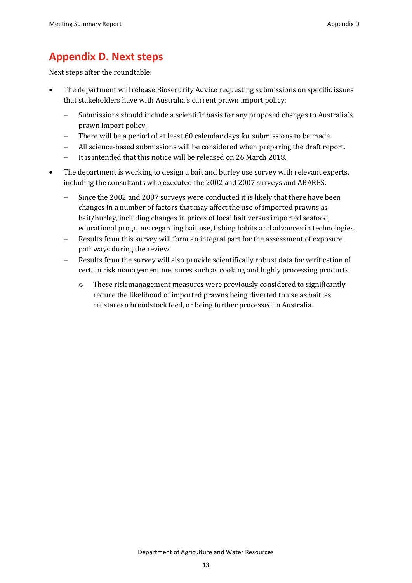## <span id="page-16-0"></span>**Appendix D. Next steps**

Next steps after the roundtable:

- The department will release Biosecurity Advice requesting submissions on specific issues that stakeholders have with Australia's current prawn import policy:
	- Submissions should include a scientific basis for any proposed changes to Australia's prawn import policy.
	- There will be a period of at least 60 calendar days for submissions to be made.
	- All science-based submissions will be considered when preparing the draft report.
	- $-I$  It is intended that this notice will be released on 26 March 2018.
- The department is working to design a bait and burley use survey with relevant experts, including the consultants who executed the 2002 and 2007 surveys and ABARES.
	- Since the 2002 and 2007 surveys were conducted it is likely that there have been changes in a number of factors that may affect the use of imported prawns as bait/burley, including changes in prices of local bait versus imported seafood, educational programs regarding bait use, fishing habits and advances in technologies.
	- Results from this survey will form an integral part for the assessment of exposure pathways during the review.
	- Results from the survey will also provide scientifically robust data for verification of certain risk management measures such as cooking and highly processing products.
		- $\circ$  These risk management measures were previously considered to significantly reduce the likelihood of imported prawns being diverted to use as bait, as crustacean broodstock feed, or being further processed in Australia.